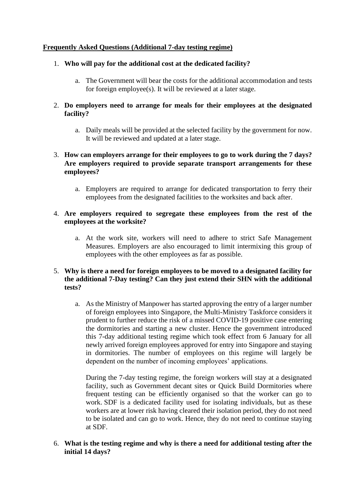## **Frequently Asked Questions (Additional 7-day testing regime)**

## 1. **Who will pay for the additional cost at the dedicated facility?**

a. The Government will bear the costs for the additional accommodation and tests for foreign employee(s). It will be reviewed at a later stage.

## 2. **Do employers need to arrange for meals for their employees at the designated facility?**

a. Daily meals will be provided at the selected facility by the government for now. It will be reviewed and updated at a later stage.

# 3. **How can employers arrange for their employees to go to work during the 7 days? Are employers required to provide separate transport arrangements for these employees?**

a. Employers are required to arrange for dedicated transportation to ferry their employees from the designated facilities to the worksites and back after.

## 4. **Are employers required to segregate these employees from the rest of the employees at the worksite?**

a. At the work site, workers will need to adhere to strict Safe Management Measures. Employers are also encouraged to limit intermixing this group of employees with the other employees as far as possible.

## 5. **Why is there a need for foreign employees to be moved to a designated facility for the additional 7-Day testing? Can they just extend their SHN with the additional tests?**

a. As the Ministry of Manpower has started approving the entry of a larger number of foreign employees into Singapore, the Multi-Ministry Taskforce considers it prudent to further reduce the risk of a missed COVID-19 positive case entering the dormitories and starting a new cluster. Hence the government introduced this 7-day additional testing regime which took effect from 6 January for all newly arrived foreign employees approved for entry into Singapore and staying in dormitories. The number of employees on this regime will largely be dependent on the number of incoming employees' applications.

During the 7-day testing regime, the foreign workers will stay at a designated facility, such as Government decant sites or Quick Build Dormitories where frequent testing can be efficiently organised so that the worker can go to work. SDF is a dedicated facility used for isolating individuals, but as these workers are at lower risk having cleared their isolation period, they do not need to be isolated and can go to work. Hence, they do not need to continue staying at SDF.

## 6. **What is the testing regime and why is there a need for additional testing after the initial 14 days?**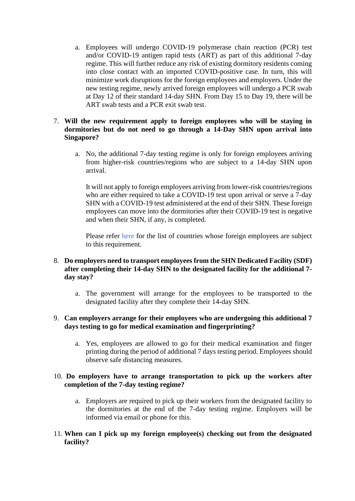a. Employees will undergo COVID-19 polymerase chain reaction (PCR) test and/or COVID-19 antigen rapid tests (ART) as part of this additional 7-day regime. This will further reduce any risk of existing dormitory residents coming into close contact with an imported COVID-positive case. In turn, this will minimize work disruptions for the foreign employees and employers. Under the new testing regime, newly arrived foreign employees will undergo a PCR swab at Day 12 of their standard 14-day SHN. From Day 15 to Day 19, there will be ART swab tests and a PCR exit swab test.

## 7. **Will the new requirement apply to foreign employees who will be staying in dormitories but do not need to go through a 14-Day SHN upon arrival into Singapore?**

a. No, the additional 7-day testing regime is only for foreign employees arriving from higher-risk countries/regions who are subject to a 14-day SHN upon arrival.

It will not apply to foreign employees arriving from lower-risk countries/regions who are either required to take a COVID-19 test upon arrival or serve a 7-day SHN with a COVID-19 test administered at the end of their SHN. These foreign employees can move into the dormitories after their COVID-19 test is negative and when their SHN, if any, is completed.

Please refer [here](https://www.mom.gov.sg/covid-19/frequently-asked-questions/entry-approvals-for-foreign-employees-and-shn-requirements) for the list of countries whose foreign employees are subject to this requirement.

## 8. **Do employers need to transport employees from the SHN Dedicated Facility (SDF) after completing their 14-day SHN to the designated facility for the additional 7 day stay?**

a. The government will arrange for the employees to be transported to the designated facility after they complete their 14-day SHN.

## 9. **Can employers arrange for their employees who are undergoing this additional 7 days testing to go for medical examination and fingerprinting?**

a. Yes, employees are allowed to go for their medical examination and finger printing during the period of additional 7 days testing period. Employees should observe safe distancing measures.

## 10. **Do employers have to arrange transportation to pick up the workers after completion of the 7-day testing regime?**

- a. Employers are required to pick up their workers from the designated facility to the dormitories at the end of the 7-day testing regime. Employers will be informed via email or phone for this.
- 11. **When can I pick up my foreign employee(s) checking out from the designated facility?**